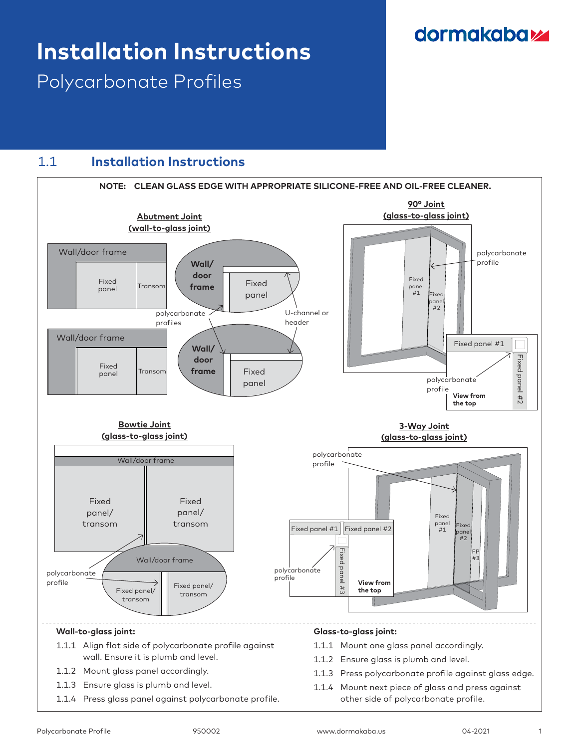## dormakabaz

# **Installation Instructions**

Polycarbonate Profiles

### 1.1 **Installation Instructions**